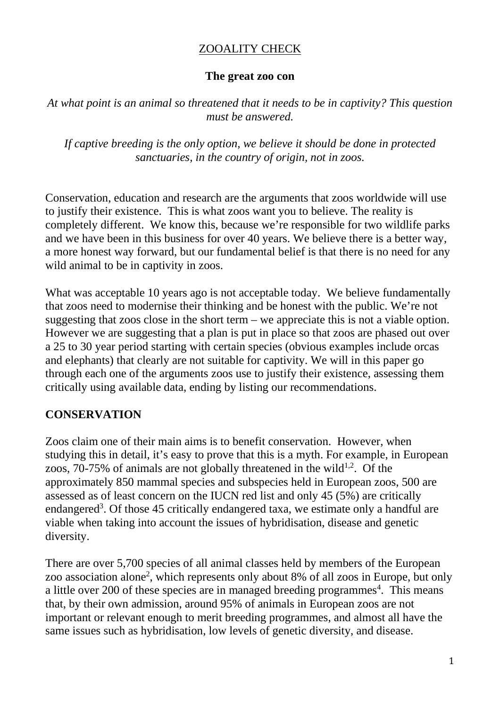## ZOOALITY CHECK

#### **The great zoo con**

*At what point is an animal so threatened that it needs to be in captivity? This question must be answered.*

*If captive breeding is the only option, we believe it should be done in protected sanctuaries, in the country of origin, not in zoos.*

Conservation, education and research are the arguments that zoos worldwide will use to justify their existence. This is what zoos want you to believe. The reality is completely different. We know this, because we're responsible for two wildlife parks and we have been in this business for over 40 years. We believe there is a better way, a more honest way forward, but our fundamental belief is that there is no need for any wild animal to be in captivity in zoos.

What was acceptable 10 years ago is not acceptable today. We believe fundamentally that zoos need to modernise their thinking and be honest with the public. We're not suggesting that zoos close in the short term – we appreciate this is not a viable option. However we are suggesting that a plan is put in place so that zoos are phased out over a 25 to 30 year period starting with certain species (obvious examples include orcas and elephants) that clearly are not suitable for captivity. We will in this paper go through each one of the arguments zoos use to justify their existence, assessing them critically using available data, ending by listing our recommendations.

# **CONSERVATION**

Zoos claim one of their main aims is to benefit conservation. However, when studying this in detail, it's easy to prove that this is a myth. For example, in European zoos, 70-75% of animals are not globally threatened in the wild<sup>1,2</sup>. Of the approximately 850 mammal species and subspecies held in European zoos, 500 are assessed as of least concern on the IUCN red list and only 45 (5%) are critically endangered<sup>3</sup>. Of those 45 critically endangered taxa, we estimate only a handful are viable when taking into account the issues of hybridisation, disease and genetic diversity.

There are over 5,700 species of all animal classes held by members of the European zoo association alone<sup>2</sup>, which represents only about 8% of all zoos in Europe, but only a little over 200 of these species are in managed breeding programmes<sup>4</sup>. This means that, by their own admission, around 95% of animals in European zoos are not important or relevant enough to merit breeding programmes, and almost all have the same issues such as hybridisation, low levels of genetic diversity, and disease.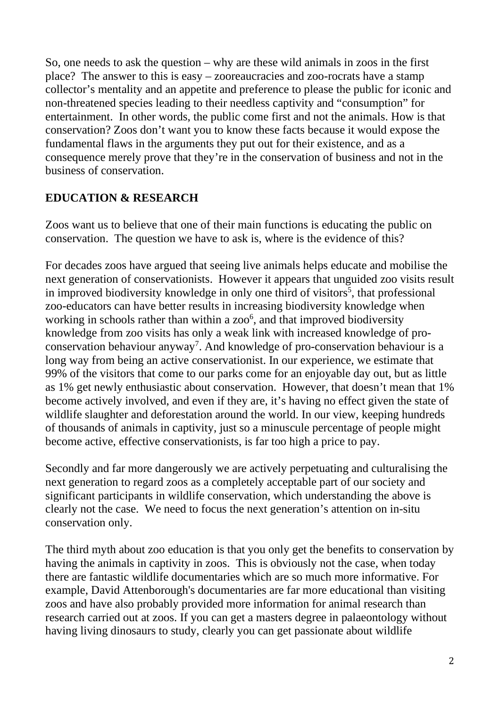So, one needs to ask the question – why are these wild animals in zoos in the first place? The answer to this is easy – zooreaucracies and zoo-rocrats have a stamp collector's mentality and an appetite and preference to please the public for iconic and non-threatened species leading to their needless captivity and "consumption" for entertainment. In other words, the public come first and not the animals. How is that conservation? Zoos don't want you to know these facts because it would expose the fundamental flaws in the arguments they put out for their existence, and as a consequence merely prove that they're in the conservation of business and not in the business of conservation.

## **EDUCATION & RESEARCH**

Zoos want us to believe that one of their main functions is educating the public on conservation. The question we have to ask is, where is the evidence of this?

For decades zoos have argued that seeing live animals helps educate and mobilise the next generation of conservationists. However it appears that unguided zoo visits result in improved biodiversity knowledge in only one third of visitors<sup>5</sup>, that professional zoo-educators can have better results in increasing biodiversity knowledge when working in schools rather than within a zoo<sup>6</sup>, and that improved biodiversity knowledge from zoo visits has only a weak link with increased knowledge of proconservation behaviour anyway<sup>7</sup>. And knowledge of pro-conservation behaviour is a long way from being an active conservationist. In our experience, we estimate that 99% of the visitors that come to our parks come for an enjoyable day out, but as little as 1% get newly enthusiastic about conservation. However, that doesn't mean that 1% become actively involved, and even if they are, it's having no effect given the state of wildlife slaughter and deforestation around the world. In our view, keeping hundreds of thousands of animals in captivity, just so a minuscule percentage of people might become active, effective conservationists, is far too high a price to pay.

Secondly and far more dangerously we are actively perpetuating and culturalising the next generation to regard zoos as a completely acceptable part of our society and significant participants in wildlife conservation, which understanding the above is clearly not the case. We need to focus the next generation's attention on in-situ conservation only.

The third myth about zoo education is that you only get the benefits to conservation by having the animals in captivity in zoos. This is obviously not the case, when today there are fantastic wildlife documentaries which are so much more informative. For example, David Attenborough's documentaries are far more educational than visiting zoos and have also probably provided more information for animal research than research carried out at zoos. If you can get a masters degree in palaeontology without having living dinosaurs to study, clearly you can get passionate about wildlife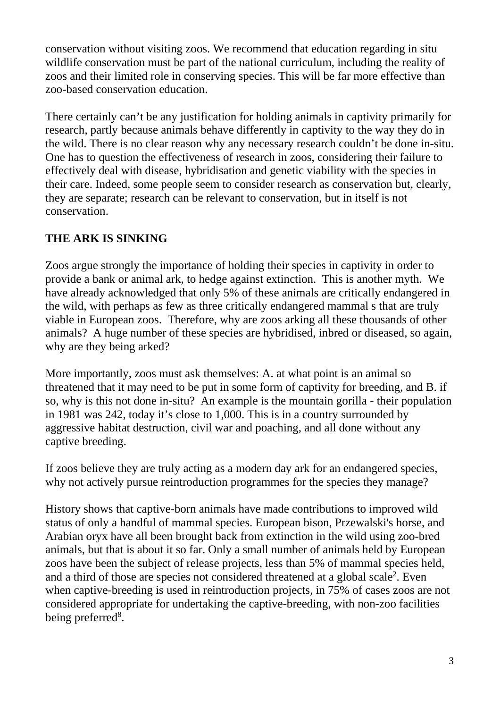conservation without visiting zoos. We recommend that education regarding in situ wildlife conservation must be part of the national curriculum, including the reality of zoos and their limited role in conserving species. This will be far more effective than zoo-based conservation education.

There certainly can't be any justification for holding animals in captivity primarily for research, partly because animals behave differently in captivity to the way they do in the wild. There is no clear reason why any necessary research couldn't be done in-situ. One has to question the effectiveness of research in zoos, considering their failure to effectively deal with disease, hybridisation and genetic viability with the species in their care. Indeed, some people seem to consider research as conservation but, clearly, they are separate; research can be relevant to conservation, but in itself is not conservation.

## **THE ARK IS SINKING**

Zoos argue strongly the importance of holding their species in captivity in order to provide a bank or animal ark, to hedge against extinction. This is another myth. We have already acknowledged that only 5% of these animals are critically endangered in the wild, with perhaps as few as three critically endangered mammal s that are truly viable in European zoos. Therefore, why are zoos arking all these thousands of other animals? A huge number of these species are hybridised, inbred or diseased, so again, why are they being arked?

More importantly, zoos must ask themselves: A. at what point is an animal so threatened that it may need to be put in some form of captivity for breeding, and B. if so, why is this not done in-situ? An example is the mountain gorilla - their population in 1981 was 242, today it's close to 1,000. This is in a country surrounded by aggressive habitat destruction, civil war and poaching, and all done without any captive breeding.

If zoos believe they are truly acting as a modern day ark for an endangered species, why not actively pursue reintroduction programmes for the species they manage?

History shows that captive-born animals have made contributions to improved wild status of only a handful of mammal species. European bison, Przewalski's horse, and Arabian oryx have all been brought back from extinction in the wild using zoo-bred animals, but that is about it so far. Only a small number of animals held by European zoos have been the subject of release projects, less than 5% of mammal species held, and a third of those are species not considered threatened at a global scale<sup>2</sup>. Even when captive-breeding is used in reintroduction projects, in 75% of cases zoos are not considered appropriate for undertaking the captive-breeding, with non-zoo facilities being preferred<sup>8</sup>.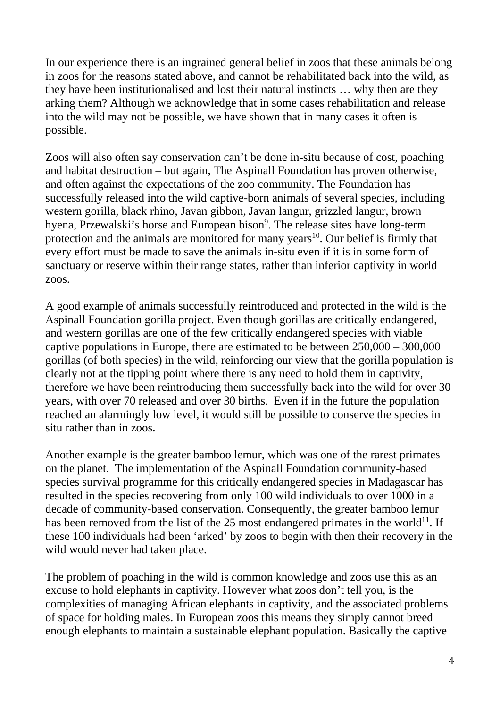In our experience there is an ingrained general belief in zoos that these animals belong in zoos for the reasons stated above, and cannot be rehabilitated back into the wild, as they have been institutionalised and lost their natural instincts … why then are they arking them? Although we acknowledge that in some cases rehabilitation and release into the wild may not be possible, we have shown that in many cases it often is possible.

Zoos will also often say conservation can't be done in-situ because of cost, poaching and habitat destruction – but again, The Aspinall Foundation has proven otherwise, and often against the expectations of the zoo community. The Foundation has successfully released into the wild captive-born animals of several species, including western gorilla, black rhino, Javan gibbon, Javan langur, grizzled langur, brown hyena, Przewalski's horse and European bison<sup>9</sup>. The release sites have long-term protection and the animals are monitored for many years<sup>10</sup>. Our belief is firmly that every effort must be made to save the animals in-situ even if it is in some form of sanctuary or reserve within their range states, rather than inferior captivity in world zoos.

A good example of animals successfully reintroduced and protected in the wild is the Aspinall Foundation gorilla project. Even though gorillas are critically endangered, and western gorillas are one of the few critically endangered species with viable captive populations in Europe, there are estimated to be between 250,000 – 300,000 gorillas (of both species) in the wild, reinforcing our view that the gorilla population is clearly not at the tipping point where there is any need to hold them in captivity, therefore we have been reintroducing them successfully back into the wild for over 30 years, with over 70 released and over 30 births. Even if in the future the population reached an alarmingly low level, it would still be possible to conserve the species in situ rather than in zoos.

Another example is the greater bamboo lemur, which was one of the rarest primates on the planet. The implementation of the Aspinall Foundation community-based species survival programme for this critically endangered species in Madagascar has resulted in the species recovering from only 100 wild individuals to over 1000 in a decade of community-based conservation. Consequently, the greater bamboo lemur has been removed from the list of the  $25$  most endangered primates in the world<sup>11</sup>. If these 100 individuals had been 'arked' by zoos to begin with then their recovery in the wild would never had taken place.

The problem of poaching in the wild is common knowledge and zoos use this as an excuse to hold elephants in captivity. However what zoos don't tell you, is the complexities of managing African elephants in captivity, and the associated problems of space for holding males. In European zoos this means they simply cannot breed enough elephants to maintain a sustainable elephant population. Basically the captive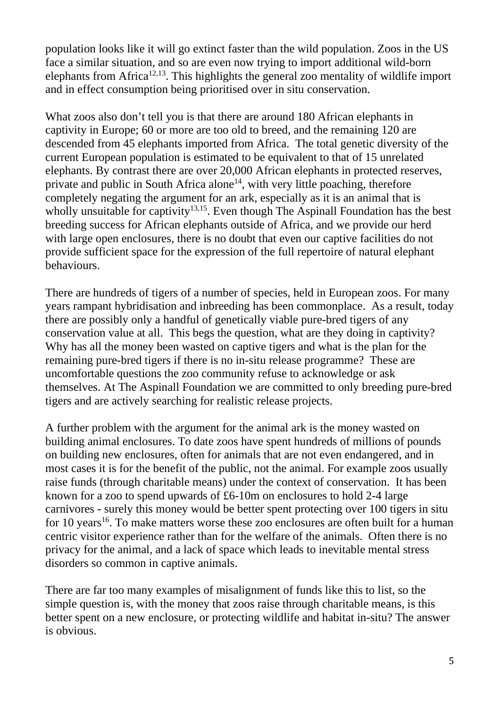population looks like it will go extinct faster than the wild population. Zoos in the US face a similar situation, and so are even now trying to import additional wild-born elephants from Africa<sup>12,13</sup>. This highlights the general zoo mentality of wildlife import and in effect consumption being prioritised over in situ conservation.

What zoos also don't tell you is that there are around 180 African elephants in captivity in Europe; 60 or more are too old to breed, and the remaining 120 are descended from 45 elephants imported from Africa. The total genetic diversity of the current European population is estimated to be equivalent to that of 15 unrelated elephants. By contrast there are over 20,000 African elephants in protected reserves, private and public in South Africa alone<sup>14</sup>, with very little poaching, therefore completely negating the argument for an ark, especially as it is an animal that is wholly unsuitable for captivity<sup>13,15</sup>. Even though The Aspinall Foundation has the best breeding success for African elephants outside of Africa, and we provide our herd with large open enclosures, there is no doubt that even our captive facilities do not provide sufficient space for the expression of the full repertoire of natural elephant behaviours.

There are hundreds of tigers of a number of species, held in European zoos. For many years rampant hybridisation and inbreeding has been commonplace. As a result, today there are possibly only a handful of genetically viable pure-bred tigers of any conservation value at all. This begs the question, what are they doing in captivity? Why has all the money been wasted on captive tigers and what is the plan for the remaining pure-bred tigers if there is no in-situ release programme? These are uncomfortable questions the zoo community refuse to acknowledge or ask themselves. At The Aspinall Foundation we are committed to only breeding pure-bred tigers and are actively searching for realistic release projects.

A further problem with the argument for the animal ark is the money wasted on building animal enclosures. To date zoos have spent hundreds of millions of pounds on building new enclosures, often for animals that are not even endangered, and in most cases it is for the benefit of the public, not the animal. For example zoos usually raise funds (through charitable means) under the context of conservation. It has been known for a zoo to spend upwards of £6-10m on enclosures to hold 2-4 large carnivores - surely this money would be better spent protecting over 100 tigers in situ for 10 years<sup>16</sup>. To make matters worse these zoo enclosures are often built for a human centric visitor experience rather than for the welfare of the animals. Often there is no privacy for the animal, and a lack of space which leads to inevitable mental stress disorders so common in captive animals.

There are far too many examples of misalignment of funds like this to list, so the simple question is, with the money that zoos raise through charitable means, is this better spent on a new enclosure, or protecting wildlife and habitat in-situ? The answer is obvious.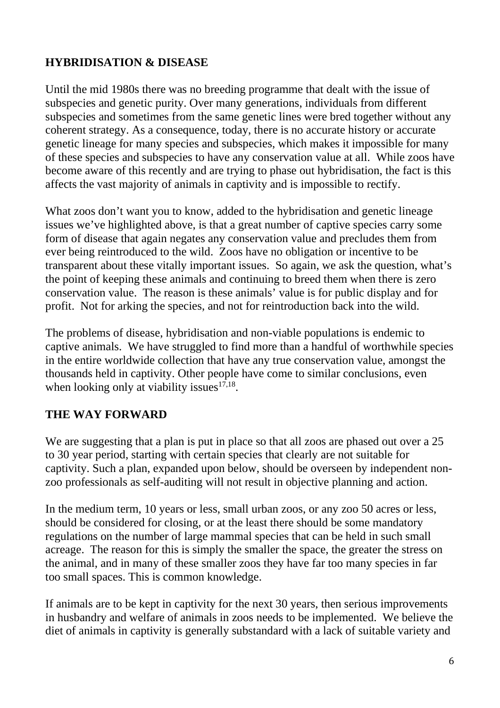# **HYBRIDISATION & DISEASE**

Until the mid 1980s there was no breeding programme that dealt with the issue of subspecies and genetic purity. Over many generations, individuals from different subspecies and sometimes from the same genetic lines were bred together without any coherent strategy. As a consequence, today, there is no accurate history or accurate genetic lineage for many species and subspecies, which makes it impossible for many of these species and subspecies to have any conservation value at all. While zoos have become aware of this recently and are trying to phase out hybridisation, the fact is this affects the vast majority of animals in captivity and is impossible to rectify.

What zoos don't want you to know, added to the hybridisation and genetic lineage issues we've highlighted above, is that a great number of captive species carry some form of disease that again negates any conservation value and precludes them from ever being reintroduced to the wild. Zoos have no obligation or incentive to be transparent about these vitally important issues. So again, we ask the question, what's the point of keeping these animals and continuing to breed them when there is zero conservation value. The reason is these animals' value is for public display and for profit. Not for arking the species, and not for reintroduction back into the wild.

The problems of disease, hybridisation and non-viable populations is endemic to captive animals. We have struggled to find more than a handful of worthwhile species in the entire worldwide collection that have any true conservation value, amongst the thousands held in captivity. Other people have come to similar conclusions, even when looking only at viability issues $17,18$ .

# **THE WAY FORWARD**

We are suggesting that a plan is put in place so that all zoos are phased out over a 25 to 30 year period, starting with certain species that clearly are not suitable for captivity. Such a plan, expanded upon below, should be overseen by independent nonzoo professionals as self-auditing will not result in objective planning and action.

In the medium term, 10 years or less, small urban zoos, or any zoo 50 acres or less, should be considered for closing, or at the least there should be some mandatory regulations on the number of large mammal species that can be held in such small acreage. The reason for this is simply the smaller the space, the greater the stress on the animal, and in many of these smaller zoos they have far too many species in far too small spaces. This is common knowledge.

If animals are to be kept in captivity for the next 30 years, then serious improvements in husbandry and welfare of animals in zoos needs to be implemented. We believe the diet of animals in captivity is generally substandard with a lack of suitable variety and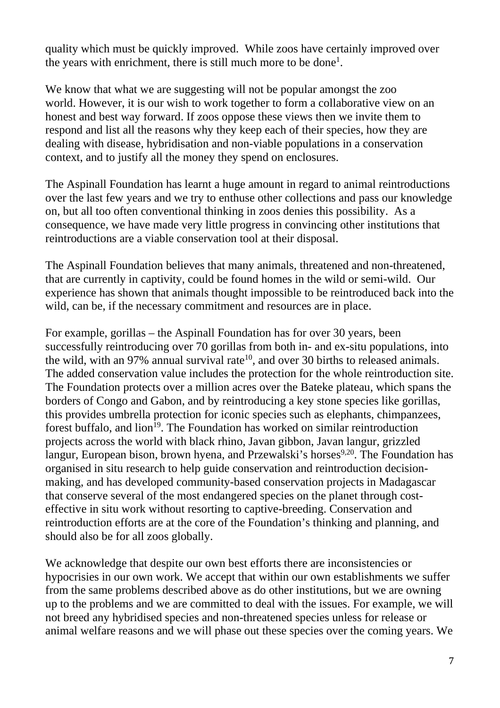quality which must be quickly improved. While zoos have certainly improved over the years with enrichment, there is still much more to be done<sup>1</sup>.

We know that what we are suggesting will not be popular amongst the zoo world. However, it is our wish to work together to form a collaborative view on an honest and best way forward. If zoos oppose these views then we invite them to respond and list all the reasons why they keep each of their species, how they are dealing with disease, hybridisation and non-viable populations in a conservation context, and to justify all the money they spend on enclosures.

The Aspinall Foundation has learnt a huge amount in regard to animal reintroductions over the last few years and we try to enthuse other collections and pass our knowledge on, but all too often conventional thinking in zoos denies this possibility. As a consequence, we have made very little progress in convincing other institutions that reintroductions are a viable conservation tool at their disposal.

The Aspinall Foundation believes that many animals, threatened and non-threatened, that are currently in captivity, could be found homes in the wild or semi-wild. Our experience has shown that animals thought impossible to be reintroduced back into the wild, can be, if the necessary commitment and resources are in place.

For example, gorillas – the Aspinall Foundation has for over 30 years, been successfully reintroducing over 70 gorillas from both in- and ex-situ populations, into the wild, with an 97% annual survival rate<sup>10</sup>, and over 30 births to released animals. The added conservation value includes the protection for the whole reintroduction site. The Foundation protects over a million acres over the Bateke plateau, which spans the borders of Congo and Gabon, and by reintroducing a key stone species like gorillas, this provides umbrella protection for iconic species such as elephants, chimpanzees, forest buffalo, and  $\lim^{19}$ . The Foundation has worked on similar reintroduction projects across the world with black rhino, Javan gibbon, Javan langur, grizzled langur, European bison, brown hyena, and Przewalski's horses<sup>9,20</sup>. The Foundation has organised in situ research to help guide conservation and reintroduction decisionmaking, and has developed community-based conservation projects in Madagascar that conserve several of the most endangered species on the planet through costeffective in situ work without resorting to captive-breeding. Conservation and reintroduction efforts are at the core of the Foundation's thinking and planning, and should also be for all zoos globally.

We acknowledge that despite our own best efforts there are inconsistencies or hypocrisies in our own work. We accept that within our own establishments we suffer from the same problems described above as do other institutions, but we are owning up to the problems and we are committed to deal with the issues. For example, we will not breed any hybridised species and non-threatened species unless for release or animal welfare reasons and we will phase out these species over the coming years. We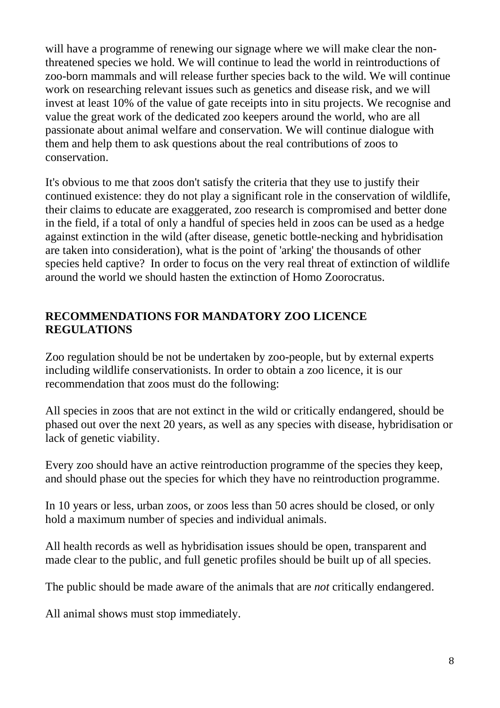will have a programme of renewing our signage where we will make clear the nonthreatened species we hold. We will continue to lead the world in reintroductions of zoo-born mammals and will release further species back to the wild. We will continue work on researching relevant issues such as genetics and disease risk, and we will invest at least 10% of the value of gate receipts into in situ projects. We recognise and value the great work of the dedicated zoo keepers around the world, who are all passionate about animal welfare and conservation. We will continue dialogue with them and help them to ask questions about the real contributions of zoos to conservation.

It's obvious to me that zoos don't satisfy the criteria that they use to justify their continued existence: they do not play a significant role in the conservation of wildlife, their claims to educate are exaggerated, zoo research is compromised and better done in the field, if a total of only a handful of species held in zoos can be used as a hedge against extinction in the wild (after disease, genetic bottle-necking and hybridisation are taken into consideration), what is the point of 'arking' the thousands of other species held captive? In order to focus on the very real threat of extinction of wildlife around the world we should hasten the extinction of Homo Zoorocratus.

#### **RECOMMENDATIONS FOR MANDATORY ZOO LICENCE REGULATIONS**

Zoo regulation should be not be undertaken by zoo-people, but by external experts including wildlife conservationists. In order to obtain a zoo licence, it is our recommendation that zoos must do the following:

All species in zoos that are not extinct in the wild or critically endangered, should be phased out over the next 20 years, as well as any species with disease, hybridisation or lack of genetic viability.

Every zoo should have an active reintroduction programme of the species they keep, and should phase out the species for which they have no reintroduction programme.

In 10 years or less, urban zoos, or zoos less than 50 acres should be closed, or only hold a maximum number of species and individual animals.

All health records as well as hybridisation issues should be open, transparent and made clear to the public, and full genetic profiles should be built up of all species.

The public should be made aware of the animals that are *not* critically endangered.

All animal shows must stop immediately.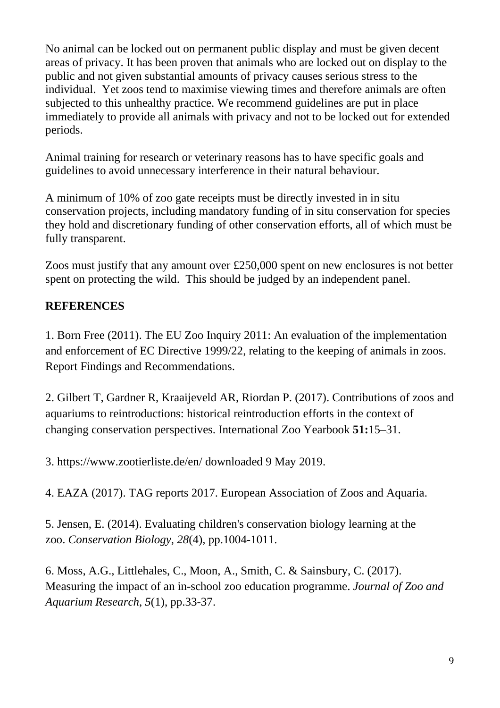No animal can be locked out on permanent public display and must be given decent areas of privacy. It has been proven that animals who are locked out on display to the public and not given substantial amounts of privacy causes serious stress to the individual. Yet zoos tend to maximise viewing times and therefore animals are often subjected to this unhealthy practice. We recommend guidelines are put in place immediately to provide all animals with privacy and not to be locked out for extended periods.

Animal training for research or veterinary reasons has to have specific goals and guidelines to avoid unnecessary interference in their natural behaviour.

A minimum of 10% of zoo gate receipts must be directly invested in in situ conservation projects, including mandatory funding of in situ conservation for species they hold and discretionary funding of other conservation efforts, all of which must be fully transparent.

Zoos must justify that any amount over £250,000 spent on new enclosures is not better spent on protecting the wild. This should be judged by an independent panel.

# **REFERENCES**

1. Born Free (2011). The EU Zoo Inquiry 2011: An evaluation of the implementation and enforcement of EC Directive 1999/22, relating to the keeping of animals in zoos. Report Findings and Recommendations.

2. Gilbert T, Gardner R, Kraaijeveld AR, Riordan P. (2017). Contributions of zoos and aquariums to reintroductions: historical reintroduction efforts in the context of changing conservation perspectives. International Zoo Yearbook **51:**15–31.

3.<https://www.zootierliste.de/en/> downloaded 9 May 2019.

4. EAZA (2017). TAG reports 2017. European Association of Zoos and Aquaria.

5. Jensen, E. (2014). Evaluating children's conservation biology learning at the zoo. *Conservation Biology*, *28*(4), pp.1004-1011.

6. Moss, A.G., Littlehales, C., Moon, A., Smith, C. & Sainsbury, C. (2017). Measuring the impact of an in-school zoo education programme. *Journal of Zoo and Aquarium Research*, *5*(1), pp.33-37.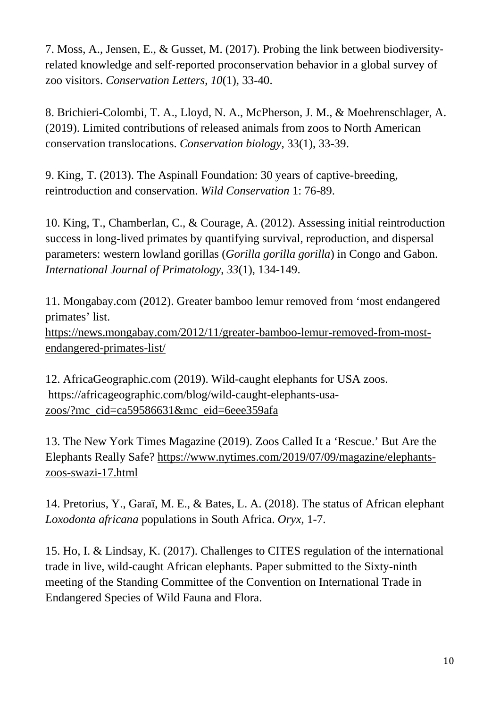7. Moss, A., Jensen, E., & Gusset, M. (2017). Probing the link between biodiversity‐ related knowledge and self‐reported proconservation behavior in a global survey of zoo visitors. *Conservation Letters*, *10*(1), 33-40.

8. Brichieri-Colombi, T. A., Lloyd, N. A., McPherson, J. M., & Moehrenschlager, A. (2019). Limited contributions of released animals from zoos to North American conservation translocations. *Conservation biology*, 33(1), 33-39.

9. King, T. (2013). The Aspinall Foundation: 30 years of captive-breeding, reintroduction and conservation. *Wild Conservation* 1: 76-89.

10. King, T., Chamberlan, C., & Courage, A. (2012). Assessing initial reintroduction success in long-lived primates by quantifying survival, reproduction, and dispersal parameters: western lowland gorillas (*Gorilla gorilla gorilla*) in Congo and Gabon. *International Journal of Primatology*, *33*(1), 134-149.

11. Mongabay.com (2012). Greater bamboo lemur removed from 'most endangered primates' list.

[https://news.mongabay.com/2012/11/greater-bamboo-lemur-removed-from-most](https://news.mongabay.com/2012/11/greater-bamboo-lemur-removed-from-most-endangered-primates-list/)[endangered-primates-list/](https://news.mongabay.com/2012/11/greater-bamboo-lemur-removed-from-most-endangered-primates-list/)

12. AfricaGeographic.com (2019). Wild-caught elephants for USA zoos. [https://africageographic.com/blog/wild-caught-elephants-usa](https://africageographic.com/blog/wild-caught-elephants-usa-zoos/?mc_cid=ca59586631&mc_eid=6eee359afa)[zoos/?mc\\_cid=ca59586631&mc\\_eid=6eee359afa](https://africageographic.com/blog/wild-caught-elephants-usa-zoos/?mc_cid=ca59586631&mc_eid=6eee359afa)

13. The New York Times Magazine (2019). Zoos Called It a 'Rescue.' But Are the Elephants Really Safe? [https://www.nytimes.com/2019/07/09/magazine/elephants](https://www.nytimes.com/2019/07/09/magazine/elephants-zoos-swazi-17.html)[zoos-swazi-17.html](https://www.nytimes.com/2019/07/09/magazine/elephants-zoos-swazi-17.html)

14. Pretorius, Y., Garaï, M. E., & Bates, L. A. (2018). The status of African elephant *Loxodonta africana* populations in South Africa. *Oryx*, 1-7.

15. Ho, I. & Lindsay, K. (2017). Challenges to CITES regulation of the international trade in live, wild-caught African elephants. Paper submitted to the Sixty-ninth meeting of the Standing Committee of the Convention on International Trade in Endangered Species of Wild Fauna and Flora.